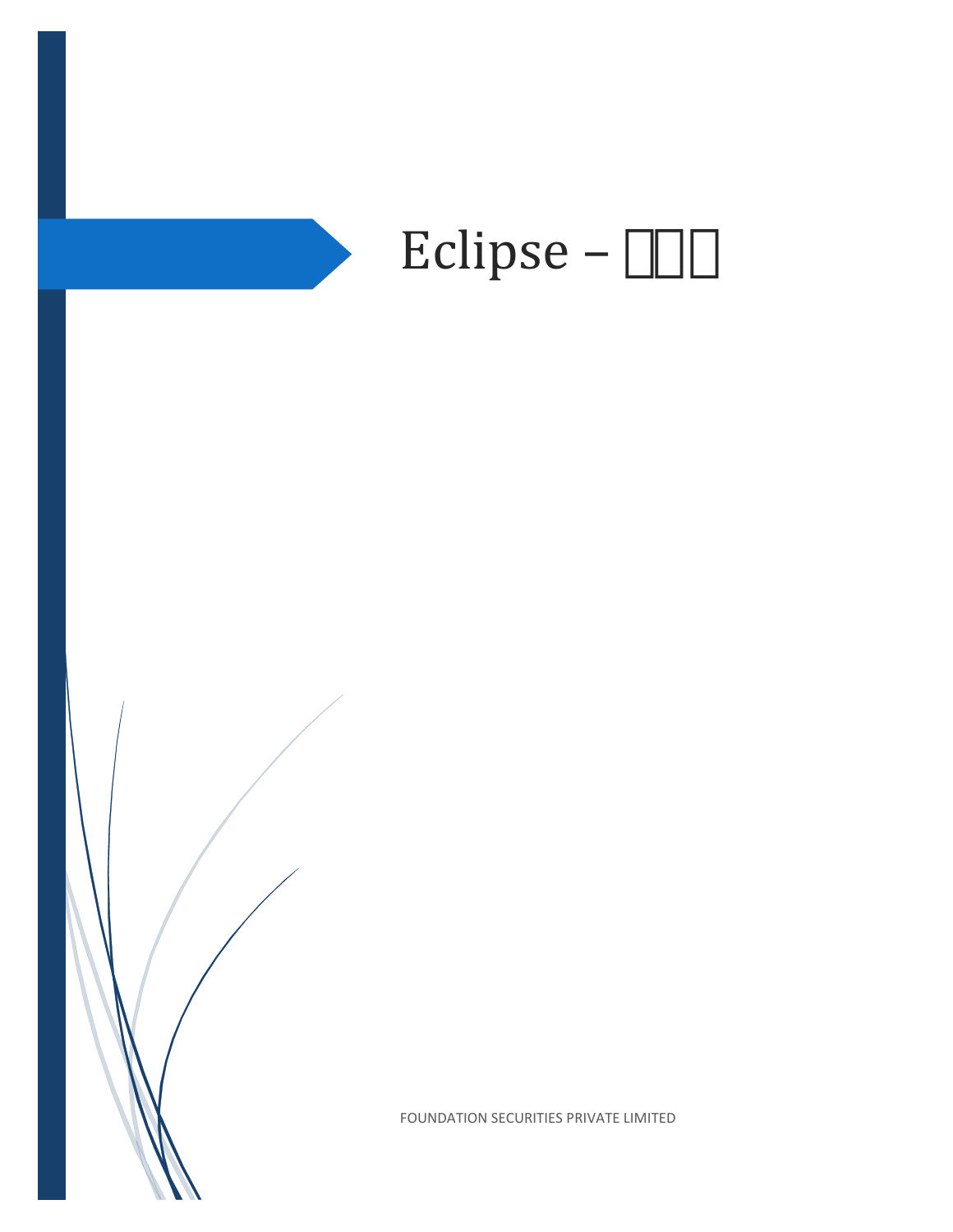

FOUNDATION SECURITIES PRIVATE LIMITED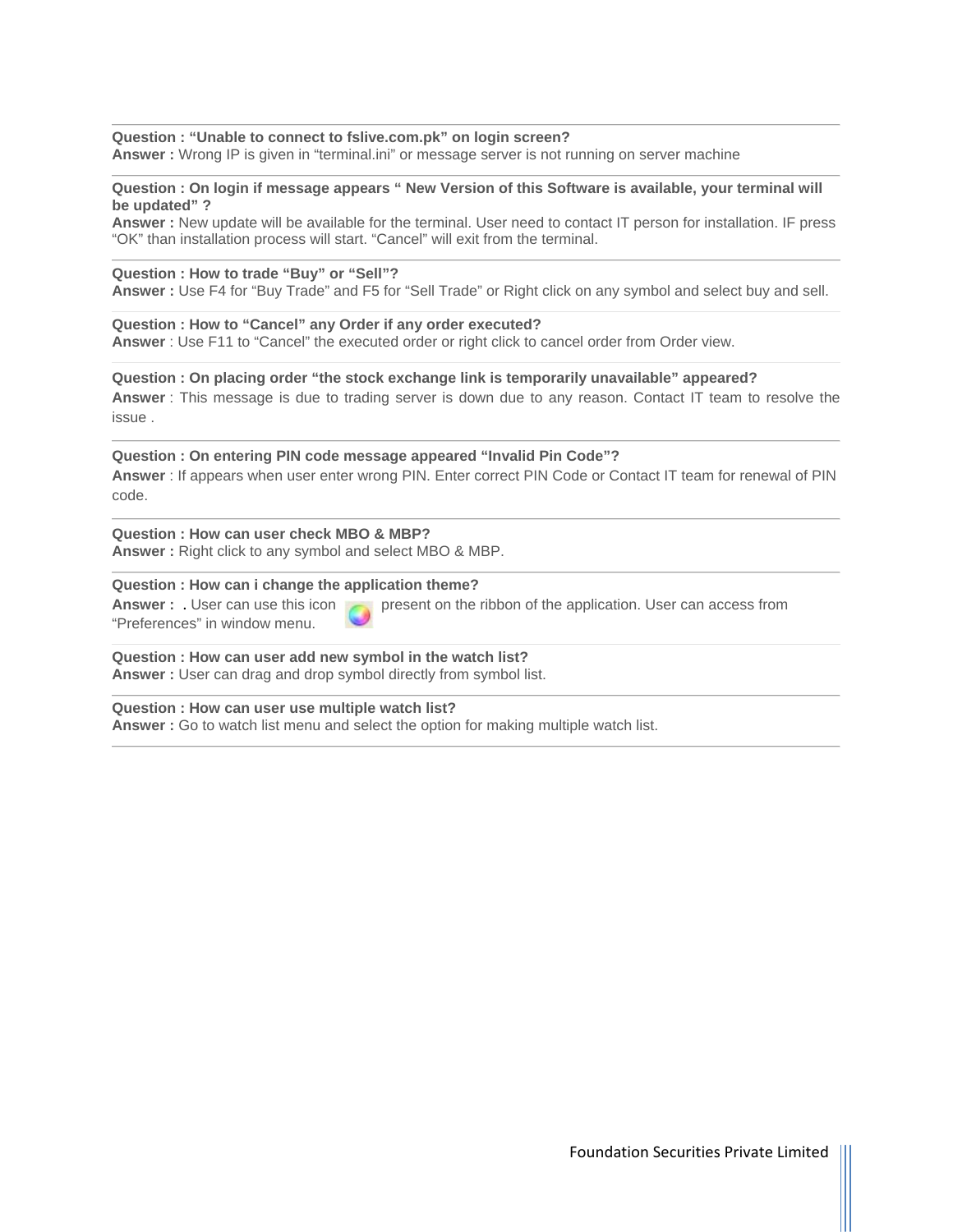**Question : "Unable to connect to fslive.com.pk" on login screen? Answer :** Wrong IP is given in "terminal.ini" or message server is not running on server machine

**Question : On login if message appears " New Version of this Software is available, your terminal will be updated" ?** 

**Answer :** New update will be available for the terminal. User need to contact IT person for installation. IF press "OK" than installation process will start. "Cancel" will exit from the terminal.

#### **Question : How to trade "Buy" or "Sell"?**

**Answer :** Use F4 for "Buy Trade" and F5 for "Sell Trade" or Right click on any symbol and select buy and sell.

**Question : How to "Cancel" any Order if any order executed? Answer** : Use F11 to "Cancel" the executed order or right click to cancel order from Order view.

**Question : On placing order "the stock exchange link is temporarily unavailable" appeared? Answer** : This message is due to trading server is down due to any reason. Contact IT team to resolve the issue .

**Question : On entering PIN code message appeared "Invalid Pin Code"? Answer** : If appears when user enter wrong PIN. Enter correct PIN Code or Contact IT team for renewal of PIN code.

**Question : How can user check MBO & MBP? Answer :** Right click to any symbol and select MBO & MBP.

#### **Question : How can i change the application theme?**

"Preferences" in window menu.

**Answer :** User can use this icon present on the ribbon of the application. User can access from

**Question : How can user add new symbol in the watch list? Answer :** User can drag and drop symbol directly from symbol list.

**Question : How can user use multiple watch list? Answer :** Go to watch list menu and select the option for making multiple watch list.